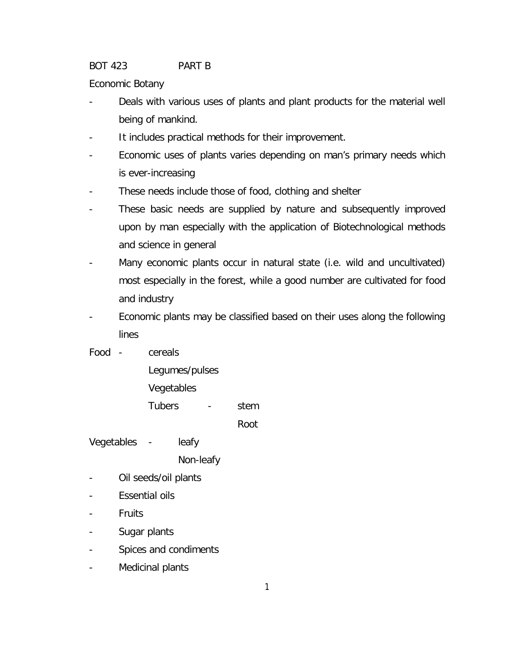BOT 423 PART B

Economic Botany

- Deals with various uses of plants and plant products for the material well being of mankind.
- It includes practical methods for their improvement.
- Economic uses of plants varies depending on man's primary needs which is ever-increasing
- These needs include those of food, clothing and shelter
- These basic needs are supplied by nature and subsequently improved upon by man especially with the application of Biotechnological methods and science in general
- Many economic plants occur in natural state (i.e. wild and uncultivated) most especially in the forest, while a good number are cultivated for food and industry
- Economic plants may be classified based on their uses along the following lines
- Food cereals
	- Legumes/pulses
	- Vegetables
	- Tubers stem

Root

Vegetables - leafy

Non-leafy

- Oil seeds/oil plants
- Essential oils
- **Fruits**
- Sugar plants
- Spices and condiments
- Medicinal plants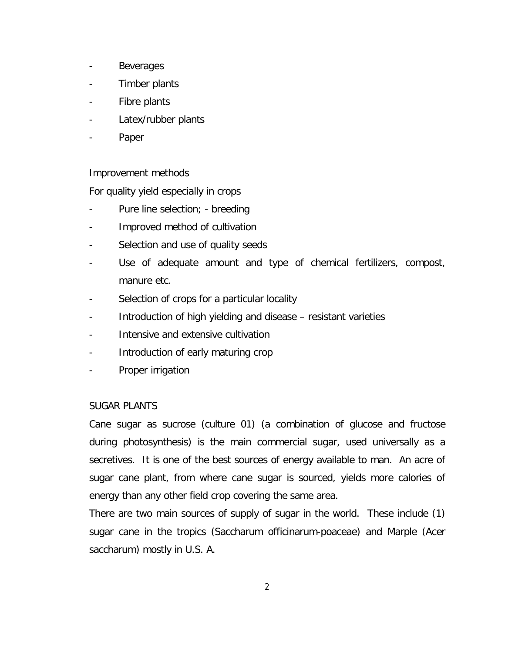- Beverages
- Timber plants
- Fibre plants
- Latex/rubber plants
- Paper

Improvement methods

For quality yield especially in crops

- Pure line selection; breeding
- Improved method of cultivation
- Selection and use of quality seeds
- Use of adequate amount and type of chemical fertilizers, compost, manure etc.
- Selection of crops for a particular locality
- Introduction of high yielding and disease resistant varieties
- Intensive and extensive cultivation
- Introduction of early maturing crop
- Proper irrigation

## SUGAR PLANTS

Cane sugar as sucrose (culture 01) (a combination of glucose and fructose during photosynthesis) is the main commercial sugar, used universally as a secretives. It is one of the best sources of energy available to man. An acre of sugar cane plant, from where cane sugar is sourced, yields more calories of energy than any other field crop covering the same area.

There are two main sources of supply of sugar in the world. These include (1) sugar cane in the tropics (Saccharum officinarum-poaceae) and Marple (Acer saccharum) mostly in U.S. A.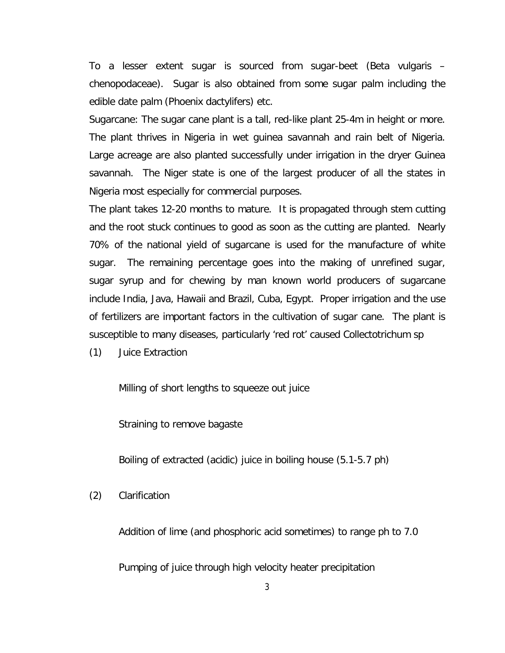To a lesser extent sugar is sourced from sugar-beet (Beta vulgaris – chenopodaceae). Sugar is also obtained from some sugar palm including the edible date palm (Phoenix dactylifers) etc.

Sugarcane: The sugar cane plant is a tall, red-like plant 25-4m in height or more. The plant thrives in Nigeria in wet guinea savannah and rain belt of Nigeria. Large acreage are also planted successfully under irrigation in the dryer Guinea savannah. The Niger state is one of the largest producer of all the states in Nigeria most especially for commercial purposes.

The plant takes 12-20 months to mature. It is propagated through stem cutting and the root stuck continues to good as soon as the cutting are planted. Nearly 70% of the national yield of sugarcane is used for the manufacture of white sugar. The remaining percentage goes into the making of unrefined sugar, sugar syrup and for chewing by man known world producers of sugarcane include India, Java, Hawaii and Brazil, Cuba, Egypt. Proper irrigation and the use of fertilizers are important factors in the cultivation of sugar cane. The plant is susceptible to many diseases, particularly 'red rot' caused Collectotrichum sp

(1) Juice Extraction

Milling of short lengths to squeeze out juice

Straining to remove bagaste

Boiling of extracted (acidic) juice in boiling house (5.1-5.7 ph)

(2) Clarification

Addition of lime (and phosphoric acid sometimes) to range ph to 7.0

Pumping of juice through high velocity heater precipitation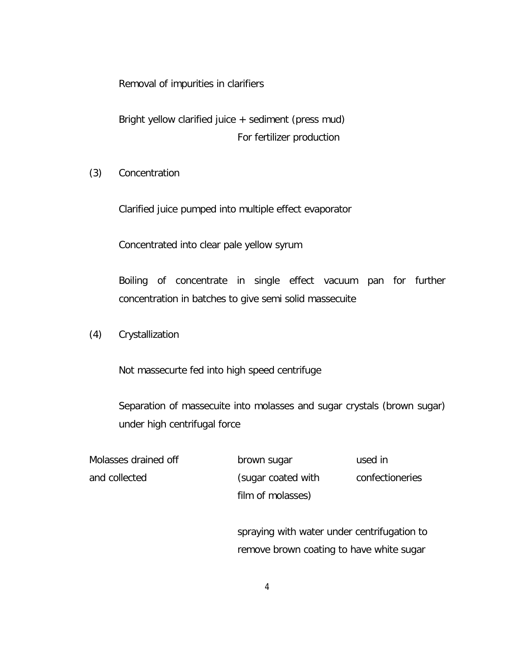Removal of impurities in clarifiers

Bright yellow clarified juice + sediment (press mud) For fertilizer production

(3) Concentration

Clarified juice pumped into multiple effect evaporator

Concentrated into clear pale yellow syrum

Boiling of concentrate in single effect vacuum pan for further concentration in batches to give semi solid massecuite

(4) Crystallization

Not massecurte fed into high speed centrifuge

Separation of massecuite into molasses and sugar crystals (brown sugar) under high centrifugal force

| Molasses drained off | brown sugar        | used in         |
|----------------------|--------------------|-----------------|
| and collected        | (sugar coated with | confectioneries |
|                      | film of molasses)  |                 |

spraying with water under centrifugation to remove brown coating to have white sugar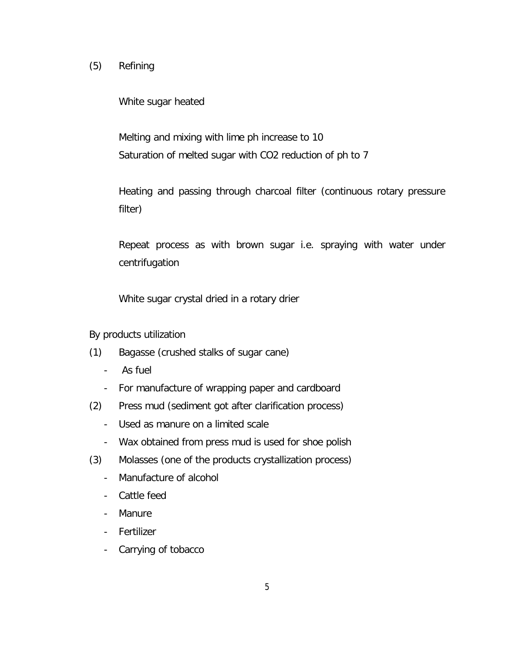# (5) Refining

White sugar heated

Melting and mixing with lime ph increase to 10 Saturation of melted sugar with CO2 reduction of ph to 7

Heating and passing through charcoal filter (continuous rotary pressure filter)

Repeat process as with brown sugar i.e. spraying with water under centrifugation

White sugar crystal dried in a rotary drier

By products utilization

- (1) Bagasse (crushed stalks of sugar cane)
	- As fuel
	- For manufacture of wrapping paper and cardboard
- (2) Press mud (sediment got after clarification process)
	- Used as manure on a limited scale
	- Wax obtained from press mud is used for shoe polish
- (3) Molasses (one of the products crystallization process)
	- Manufacture of alcohol
	- Cattle feed
	- Manure
	- Fertilizer
	- Carrying of tobacco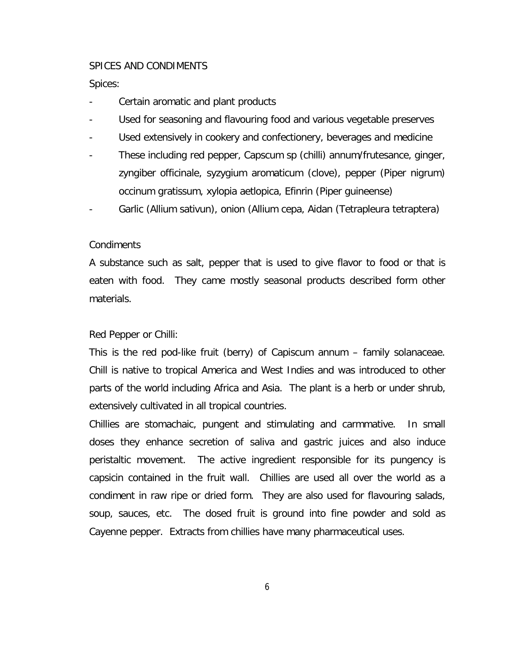### SPICES AND CONDIMENTS

Spices:

- Certain aromatic and plant products
- Used for seasoning and flavouring food and various vegetable preserves
- Used extensively in cookery and confectionery, beverages and medicine
- These including red pepper, Capscum sp (chilli) annum/frutesance, ginger, zyngiber officinale, syzygium aromaticum (clove), pepper (Piper nigrum) occinum gratissum, xylopia aetlopica, Efinrin (Piper guineense)
- Garlic (Allium sativun), onion (Allium cepa, Aidan (Tetrapleura tetraptera)

## Condiments

A substance such as salt, pepper that is used to give flavor to food or that is eaten with food. They came mostly seasonal products described form other materials.

## Red Pepper or Chilli:

This is the red pod-like fruit (berry) of Capiscum annum – family solanaceae. Chill is native to tropical America and West Indies and was introduced to other parts of the world including Africa and Asia. The plant is a herb or under shrub, extensively cultivated in all tropical countries.

Chillies are stomachaic, pungent and stimulating and carmmative. In small doses they enhance secretion of saliva and gastric juices and also induce peristaltic movement. The active ingredient responsible for its pungency is capsicin contained in the fruit wall. Chillies are used all over the world as a condiment in raw ripe or dried form. They are also used for flavouring salads, soup, sauces, etc. The dosed fruit is ground into fine powder and sold as Cayenne pepper. Extracts from chillies have many pharmaceutical uses.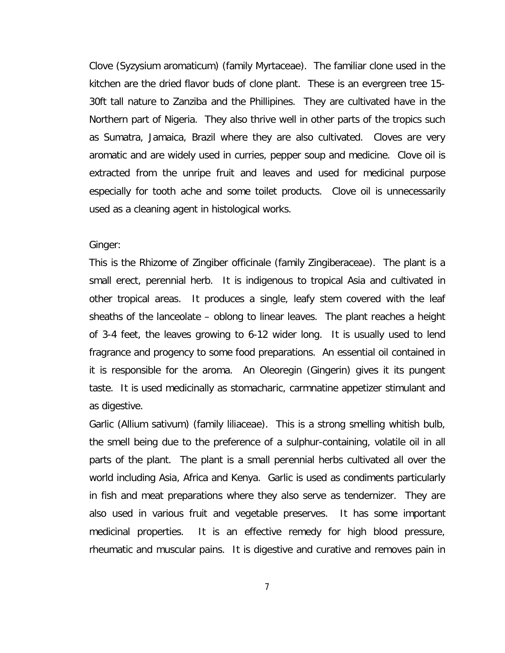Clove (Syzysium aromaticum) (family Myrtaceae). The familiar clone used in the kitchen are the dried flavor buds of clone plant. These is an evergreen tree 15- 30ft tall nature to Zanziba and the Phillipines. They are cultivated have in the Northern part of Nigeria. They also thrive well in other parts of the tropics such as Sumatra, Jamaica, Brazil where they are also cultivated. Cloves are very aromatic and are widely used in curries, pepper soup and medicine. Clove oil is extracted from the unripe fruit and leaves and used for medicinal purpose especially for tooth ache and some toilet products. Clove oil is unnecessarily used as a cleaning agent in histological works.

Ginger:

This is the Rhizome of Zingiber officinale (family Zingiberaceae). The plant is a small erect, perennial herb. It is indigenous to tropical Asia and cultivated in other tropical areas. It produces a single, leafy stem covered with the leaf sheaths of the lanceolate – oblong to linear leaves. The plant reaches a height of 3-4 feet, the leaves growing to 6-12 wider long. It is usually used to lend fragrance and progency to some food preparations. An essential oil contained in it is responsible for the aroma. An Oleoregin (Gingerin) gives it its pungent taste. It is used medicinally as stomacharic, carmnatine appetizer stimulant and as digestive.

Garlic (Allium sativum) (family liliaceae). This is a strong smelling whitish bulb, the smell being due to the preference of a sulphur-containing, volatile oil in all parts of the plant. The plant is a small perennial herbs cultivated all over the world including Asia, Africa and Kenya. Garlic is used as condiments particularly in fish and meat preparations where they also serve as tendernizer. They are also used in various fruit and vegetable preserves. It has some important medicinal properties. It is an effective remedy for high blood pressure, rheumatic and muscular pains. It is digestive and curative and removes pain in

7